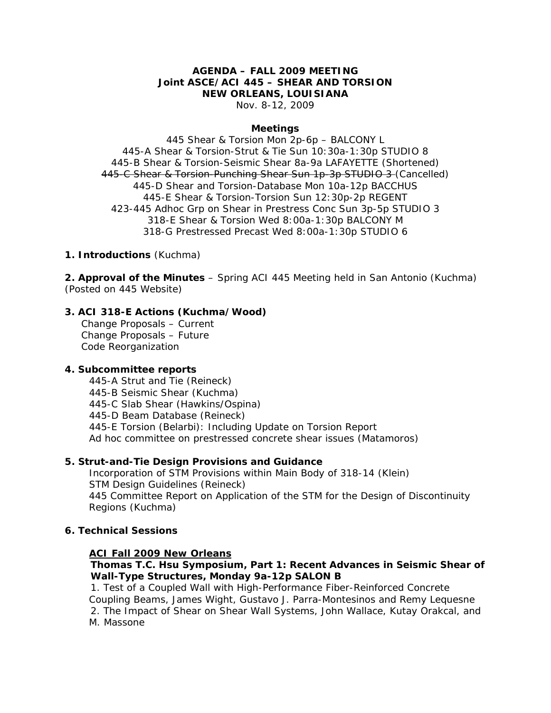# **AGENDA – FALL 2009 MEETING Joint ASCE/ACI 445 – SHEAR AND TORSION NEW ORLEANS, LOUISIANA**

Nov. 8-12, 2009

#### **Meetings**

445 Shear & Torsion Mon 2p-6p – BALCONY L 445-A Shear & Torsion-Strut & Tie Sun 10:30a-1:30p STUDIO 8 445-B Shear & Torsion-Seismic Shear 8a-9a LAFAYETTE (Shortened) 445-C Shear & Torsion-Punching Shear Sun 1p-3p STUDIO 3 (Cancelled) 445-D Shear and Torsion-Database Mon 10a-12p BACCHUS 445-E Shear & Torsion-Torsion Sun 12:30p-2p REGENT 423-445 Adhoc Grp on Shear in Prestress Conc Sun 3p-5p STUDIO 3 318-E Shear & Torsion Wed 8:00a-1:30p BALCONY M 318-G Prestressed Precast Wed 8:00a-1:30p STUDIO 6

#### **1. Introductions** (Kuchma)

**2. Approval of the Minutes** – Spring ACI 445 Meeting held in San Antonio (Kuchma) (Posted on 445 Website)

### **3. ACI 318-E Actions (Kuchma/Wood)**

Change Proposals – Current Change Proposals – Future Code Reorganization

#### **4. Subcommittee reports**

 445-A Strut and Tie (Reineck) 445-B Seismic Shear (Kuchma) 445-C Slab Shear (Hawkins/Ospina) 445-D Beam Database (Reineck) 445-E Torsion (Belarbi): Including Update on Torsion Report Ad hoc committee on prestressed concrete shear issues (Matamoros)

### **5. Strut-and-Tie Design Provisions and Guidance**

 Incorporation of STM Provisions within Main Body of 318-14 (Klein) STM Design Guidelines (Reineck) 445 Committee Report on Application of the STM for the Design of Discontinuity Regions (Kuchma)

#### **6. Technical Sessions**

#### **ACI Fall 2009 New Orleans**

# **Thomas T.C. Hsu Symposium, Part 1: Recent Advances in Seismic Shear of Wall-Type Structures, Monday 9a-12p SALON B**

1. Test of a Coupled Wall with High-Performance Fiber-Reinforced Concrete Coupling Beams, James Wight, Gustavo J. Parra-Montesinos and Remy Lequesne 2. The Impact of Shear on Shear Wall Systems, John Wallace, Kutay Orakcal, and M. Massone